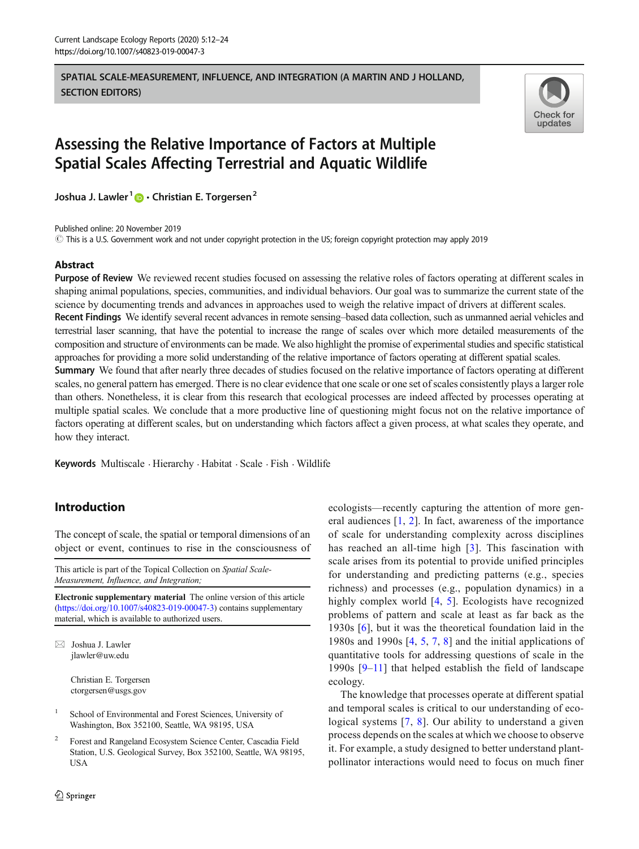SPATIAL SCALE-MEASUREMENT, INFLUENCE, AND INTEGRATION (A MARTIN AND J HOLLAND, AND J HOLLAND, AND J HOLLAND, A  $\overline{\phantom{a}}$ 

# Assessing the Relative Importance of Factors at Multiple Spatial Scales Affecting Terrestrial and Aquatic Wildlife

Joshua J. Lawler<sup>1</sup>  $\bullet$  · Christian E. Torgersen<sup>2</sup>

Published online: 20 November 2019

 $\degree$  This is a U.S. Government work and not under copyright protection in the US; foreign copyright protection may apply 2019

#### Abstract

Purpose of Review We reviewed recent studies focused on assessing the relative roles of factors operating at different scales in shaping animal populations, species, communities, and individual behaviors. Our goal was to summarize the current state of the science by documenting trends and advances in approaches used to weigh the relative impact of drivers at different scales. Recent Findings We identify several recent advances in remote sensing–based data collection, such as unmanned aerial vehicles and terrestrial laser scanning, that have the potential to increase the range of scales over which more detailed measurements of the composition and structure of environments can be made. We also highlight the promise of experimental studies and specific statistical approaches for providing a more solid understanding of the relative importance of factors operating at different spatial scales. Summary We found that after nearly three decades of studies focused on the relative importance of factors operating at different scales, no general pattern has emerged. There is no clear evidence that one scale or one set of scales consistently plays a larger role than others. Nonetheless, it is clear from this research that ecological processes are indeed affected by processes operating at multiple spatial scales. We conclude that a more productive line of questioning might focus not on the relative importance of factors operating at different scales, but on understanding which factors affect a given process, at what scales they operate, and how they interact.

Keywords Multiscale . Hierarchy . Habitat . Scale . Fish . Wildlife

# Introduction

The concept of scale, the spatial or temporal dimensions of an object or event, continues to rise in the consciousness of

This article is part of the Topical Collection on Spatial Scale-Measurement, Influence, and Integration;

Electronic supplementary material The online version of this article ([https://doi.org/10.1007/s40823-019-00047-3\)](https://doi.org/10.1007/s40823-019-00047-3) contains supplementary material, which is available to authorized users.

 $\boxtimes$  Joshua J. Lawler [jlawler@uw.edu](mailto:jlawler@uw.edu)

> Christian E. Torgersen ctorgersen@usgs.gov

- School of Environmental and Forest Sciences, University of Washington, Box 352100, Seattle, WA 98195, USA
- <sup>2</sup> Forest and Rangeland Ecosystem Science Center, Cascadia Field Station, U.S. Geological Survey, Box 352100, Seattle, WA 98195, USA



The knowledge that processes operate at different spatial and temporal scales is critical to our understanding of ecological systems [\[7,](#page-9-0) [8\]](#page-9-0). Our ability to understand a given process depends on the scales at which we choose to observe it. For example, a study designed to better understand plantpollinator interactions would need to focus on much finer

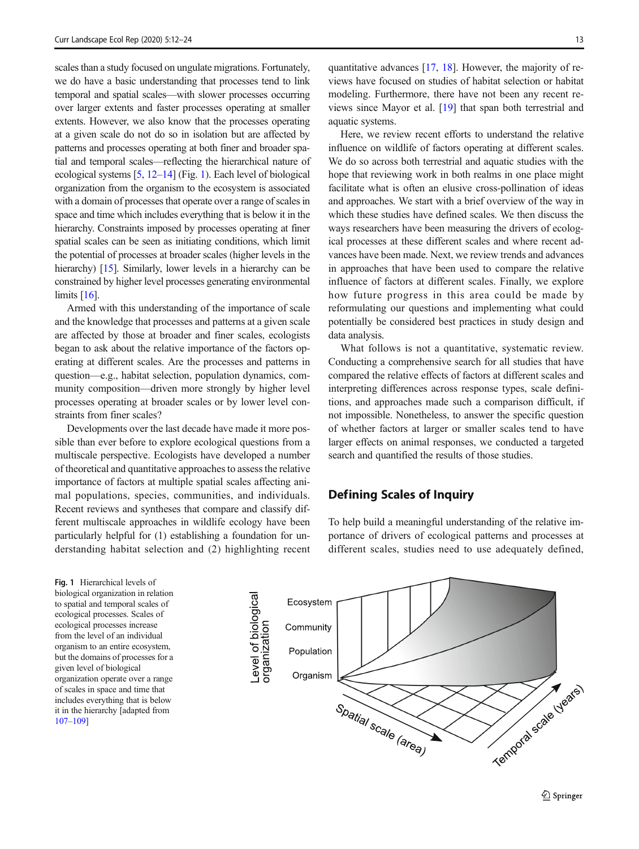scales than a study focused on ungulate migrations. Fortunately, we do have a basic understanding that processes tend to link temporal and spatial scales—with slower processes occurring over larger extents and faster processes operating at smaller extents. However, we also know that the processes operating at a given scale do not do so in isolation but are affected by patterns and processes operating at both finer and broader spatial and temporal scales—reflecting the hierarchical nature of ecological systems [\[5](#page-9-0), [12](#page-9-0)–[14\]](#page-9-0) (Fig. 1). Each level of biological organization from the organism to the ecosystem is associated with a domain of processes that operate over a range of scales in space and time which includes everything that is below it in the hierarchy. Constraints imposed by processes operating at finer spatial scales can be seen as initiating conditions, which limit the potential of processes at broader scales (higher levels in the hierarchy) [\[15\]](#page-9-0). Similarly, lower levels in a hierarchy can be constrained by higher level processes generating environmental limits [\[16](#page-9-0)].

Armed with this understanding of the importance of scale and the knowledge that processes and patterns at a given scale are affected by those at broader and finer scales, ecologists began to ask about the relative importance of the factors operating at different scales. Are the processes and patterns in question—e.g., habitat selection, population dynamics, community composition—driven more strongly by higher level processes operating at broader scales or by lower level constraints from finer scales?

Developments over the last decade have made it more possible than ever before to explore ecological questions from a multiscale perspective. Ecologists have developed a number of theoretical and quantitative approaches to assess the relative importance of factors at multiple spatial scales affecting animal populations, species, communities, and individuals. Recent reviews and syntheses that compare and classify different multiscale approaches in wildlife ecology have been particularly helpful for (1) establishing a foundation for understanding habitat selection and (2) highlighting recent

quantitative advances [[17](#page-9-0), [18\]](#page-9-0). However, the majority of reviews have focused on studies of habitat selection or habitat modeling. Furthermore, there have not been any recent reviews since Mayor et al. [\[19](#page-9-0)] that span both terrestrial and aquatic systems.

Here, we review recent efforts to understand the relative influence on wildlife of factors operating at different scales. We do so across both terrestrial and aquatic studies with the hope that reviewing work in both realms in one place might facilitate what is often an elusive cross-pollination of ideas and approaches. We start with a brief overview of the way in which these studies have defined scales. We then discuss the ways researchers have been measuring the drivers of ecological processes at these different scales and where recent advances have been made. Next, we review trends and advances in approaches that have been used to compare the relative influence of factors at different scales. Finally, we explore how future progress in this area could be made by reformulating our questions and implementing what could potentially be considered best practices in study design and data analysis.

What follows is not a quantitative, systematic review. Conducting a comprehensive search for all studies that have compared the relative effects of factors at different scales and interpreting differences across response types, scale definitions, and approaches made such a comparison difficult, if not impossible. Nonetheless, to answer the specific question of whether factors at larger or smaller scales tend to have larger effects on animal responses, we conducted a targeted search and quantified the results of those studies.

# Defining Scales of Inquiry

Fig. 1 Hierarchical levels of biological organization in relation to spatial and temporal scales of ecological processes. Scales of ecological processes increase from the level of an individual organism to an entire ecosystem, but the domains of processes for a given level of biological organization operate over a range of scales in space and time that includes everything that is below it in the hierarchy [adapted from [107](#page-12-0)–[109\]](#page-12-0)

To help build a meaningful understanding of the relative importance of drivers of ecological patterns and processes at different scales, studies need to use adequately defined,

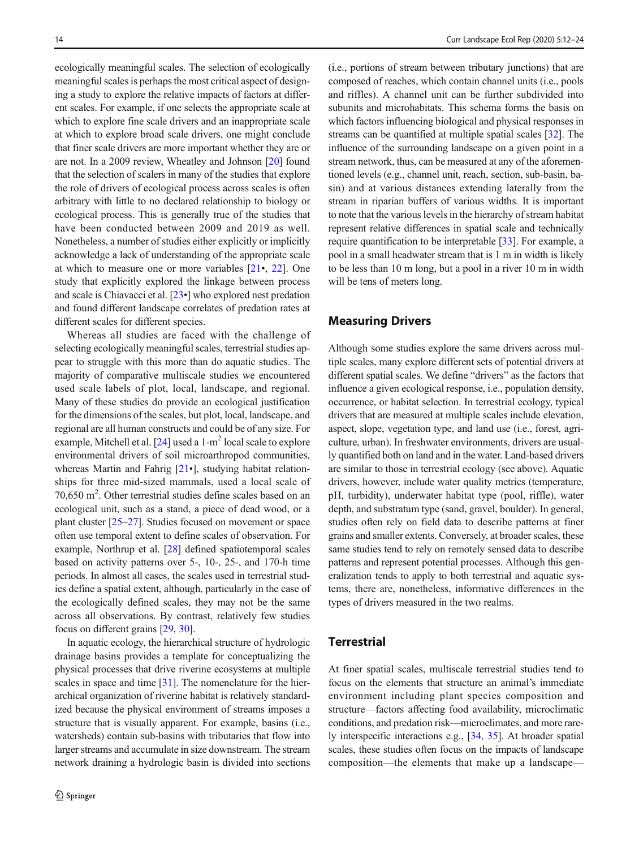ecologically meaningful scales. The selection of ecologically meaningful scales is perhaps the most critical aspect of designing a study to explore the relative impacts of factors at different scales. For example, if one selects the appropriate scale at which to explore fine scale drivers and an inappropriate scale at which to explore broad scale drivers, one might conclude that finer scale drivers are more important whether they are or are not. In a 2009 review, Wheatley and Johnson [\[20](#page-9-0)] found that the selection of scalers in many of the studies that explore the role of drivers of ecological process across scales is often arbitrary with little to no declared relationship to biology or ecological process. This is generally true of the studies that have been conducted between 2009 and 2019 as well. Nonetheless, a number of studies either explicitly or implicitly acknowledge a lack of understanding of the appropriate scale at which to measure one or more variables [[21](#page-9-0)•, [22](#page-9-0)]. One study that explicitly explored the linkage between process and scale is Chiavacci et al. [\[23](#page-9-0)•] who explored nest predation and found different landscape correlates of predation rates at different scales for different species.

Whereas all studies are faced with the challenge of selecting ecologically meaningful scales, terrestrial studies appear to struggle with this more than do aquatic studies. The majority of comparative multiscale studies we encountered used scale labels of plot, local, landscape, and regional. Many of these studies do provide an ecological justification for the dimensions of the scales, but plot, local, landscape, and regional are all human constructs and could be of any size. For example, Mitchell et al.  $[24]$  $[24]$  used a 1-m<sup>2</sup> local scale to explore environmental drivers of soil microarthropod communities, whereas Martin and Fahrig [[21](#page-9-0)•], studying habitat relationships for three mid-sized mammals, used a local scale of 70,650 m<sup>2</sup>. Other terrestrial studies define scales based on an ecological unit, such as a stand, a piece of dead wood, or a plant cluster [\[25](#page-9-0)–[27\]](#page-9-0). Studies focused on movement or space often use temporal extent to define scales of observation. For example, Northrup et al. [[28\]](#page-10-0) defined spatiotemporal scales based on activity patterns over 5-, 10-, 25-, and 170-h time periods. In almost all cases, the scales used in terrestrial studies define a spatial extent, although, particularly in the case of the ecologically defined scales, they may not be the same across all observations. By contrast, relatively few studies focus on different grains [\[29,](#page-10-0) [30\]](#page-10-0).

In aquatic ecology, the hierarchical structure of hydrologic drainage basins provides a template for conceptualizing the physical processes that drive riverine ecosystems at multiple scales in space and time [\[31\]](#page-10-0). The nomenclature for the hierarchical organization of riverine habitat is relatively standardized because the physical environment of streams imposes a structure that is visually apparent. For example, basins (i.e., watersheds) contain sub-basins with tributaries that flow into larger streams and accumulate in size downstream. The stream network draining a hydrologic basin is divided into sections (i.e., portions of stream between tributary junctions) that are composed of reaches, which contain channel units (i.e., pools and riffles). A channel unit can be further subdivided into subunits and microhabitats. This schema forms the basis on which factors influencing biological and physical responses in streams can be quantified at multiple spatial scales [[32\]](#page-10-0). The influence of the surrounding landscape on a given point in a stream network, thus, can be measured at any of the aforementioned levels (e.g., channel unit, reach, section, sub-basin, basin) and at various distances extending laterally from the stream in riparian buffers of various widths. It is important to note that the various levels in the hierarchy of stream habitat represent relative differences in spatial scale and technically require quantification to be interpretable [\[33\]](#page-10-0). For example, a pool in a small headwater stream that is 1 m in width is likely to be less than 10 m long, but a pool in a river 10 m in width will be tens of meters long.

## Measuring Drivers

Although some studies explore the same drivers across multiple scales, many explore different sets of potential drivers at different spatial scales. We define "drivers" as the factors that influence a given ecological response, i.e., population density, occurrence, or habitat selection. In terrestrial ecology, typical drivers that are measured at multiple scales include elevation, aspect, slope, vegetation type, and land use (i.e., forest, agriculture, urban). In freshwater environments, drivers are usually quantified both on land and in the water. Land-based drivers are similar to those in terrestrial ecology (see above). Aquatic drivers, however, include water quality metrics (temperature, pH, turbidity), underwater habitat type (pool, riffle), water depth, and substratum type (sand, gravel, boulder). In general, studies often rely on field data to describe patterns at finer grains and smaller extents. Conversely, at broader scales, these same studies tend to rely on remotely sensed data to describe patterns and represent potential processes. Although this generalization tends to apply to both terrestrial and aquatic systems, there are, nonetheless, informative differences in the types of drivers measured in the two realms.

#### **Terrestrial**

At finer spatial scales, multiscale terrestrial studies tend to focus on the elements that structure an animal's immediate environment including plant species composition and structure—factors affecting food availability, microclimatic conditions, and predation risk—microclimates, and more rarely interspecific interactions e.g., [[34,](#page-10-0) [35](#page-10-0)]. At broader spatial scales, these studies often focus on the impacts of landscape composition—the elements that make up a landscape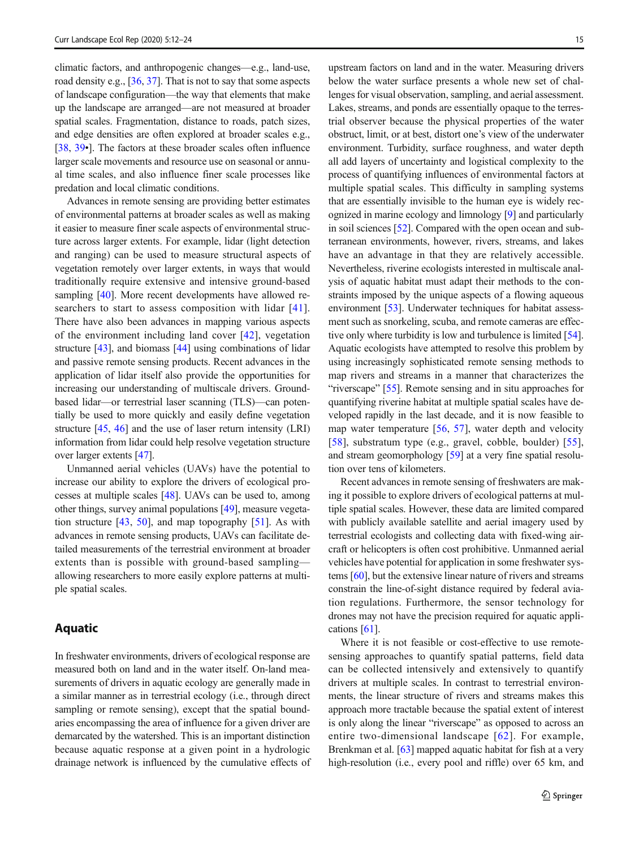climatic factors, and anthropogenic changes—e.g., land-use, road density e.g., [\[36,](#page-10-0) [37](#page-10-0)]. That is not to say that some aspects of landscape configuration—the way that elements that make up the landscape are arranged—are not measured at broader spatial scales. Fragmentation, distance to roads, patch sizes, and edge densities are often explored at broader scales e.g., [\[38,](#page-10-0) [39](#page-10-0)•]. The factors at these broader scales often influence larger scale movements and resource use on seasonal or annual time scales, and also influence finer scale processes like predation and local climatic conditions.

Advances in remote sensing are providing better estimates of environmental patterns at broader scales as well as making it easier to measure finer scale aspects of environmental structure across larger extents. For example, lidar (light detection and ranging) can be used to measure structural aspects of vegetation remotely over larger extents, in ways that would traditionally require extensive and intensive ground-based sampling [\[40](#page-10-0)]. More recent developments have allowed re-searchers to start to assess composition with lidar [[41](#page-10-0)]. There have also been advances in mapping various aspects of the environment including land cover [\[42](#page-10-0)], vegetation structure [[43\]](#page-10-0), and biomass [[44](#page-10-0)] using combinations of lidar and passive remote sensing products. Recent advances in the application of lidar itself also provide the opportunities for increasing our understanding of multiscale drivers. Groundbased lidar—or terrestrial laser scanning (TLS)—can potentially be used to more quickly and easily define vegetation structure [\[45,](#page-10-0) [46](#page-10-0)] and the use of laser return intensity (LRI) information from lidar could help resolve vegetation structure over larger extents [[47\]](#page-10-0).

Unmanned aerial vehicles (UAVs) have the potential to increase our ability to explore the drivers of ecological processes at multiple scales [\[48](#page-10-0)]. UAVs can be used to, among other things, survey animal populations [[49](#page-10-0)], measure vegetation structure [\[43](#page-10-0), [50](#page-10-0)], and map topography [[51](#page-10-0)]. As with advances in remote sensing products, UAVs can facilitate detailed measurements of the terrestrial environment at broader extents than is possible with ground-based sampling allowing researchers to more easily explore patterns at multiple spatial scales.

# Aquatic

In freshwater environments, drivers of ecological response are measured both on land and in the water itself. On-land measurements of drivers in aquatic ecology are generally made in a similar manner as in terrestrial ecology (i.e., through direct sampling or remote sensing), except that the spatial boundaries encompassing the area of influence for a given driver are demarcated by the watershed. This is an important distinction because aquatic response at a given point in a hydrologic drainage network is influenced by the cumulative effects of

upstream factors on land and in the water. Measuring drivers below the water surface presents a whole new set of challenges for visual observation, sampling, and aerial assessment. Lakes, streams, and ponds are essentially opaque to the terrestrial observer because the physical properties of the water obstruct, limit, or at best, distort one's view of the underwater environment. Turbidity, surface roughness, and water depth all add layers of uncertainty and logistical complexity to the process of quantifying influences of environmental factors at multiple spatial scales. This difficulty in sampling systems that are essentially invisible to the human eye is widely recognized in marine ecology and limnology [\[9](#page-9-0)] and particularly in soil sciences [\[52\]](#page-10-0). Compared with the open ocean and subterranean environments, however, rivers, streams, and lakes have an advantage in that they are relatively accessible. Nevertheless, riverine ecologists interested in multiscale analysis of aquatic habitat must adapt their methods to the constraints imposed by the unique aspects of a flowing aqueous environment [\[53](#page-10-0)]. Underwater techniques for habitat assessment such as snorkeling, scuba, and remote cameras are effective only where turbidity is low and turbulence is limited [[54\]](#page-10-0). Aquatic ecologists have attempted to resolve this problem by using increasingly sophisticated remote sensing methods to map rivers and streams in a manner that characterizes the "riverscape" [\[55\]](#page-10-0). Remote sensing and in situ approaches for quantifying riverine habitat at multiple spatial scales have developed rapidly in the last decade, and it is now feasible to map water temperature [[56,](#page-10-0) [57](#page-10-0)], water depth and velocity [\[58\]](#page-10-0), substratum type (e.g., gravel, cobble, boulder) [\[55](#page-10-0)], and stream geomorphology [\[59\]](#page-10-0) at a very fine spatial resolution over tens of kilometers.

Recent advances in remote sensing of freshwaters are making it possible to explore drivers of ecological patterns at multiple spatial scales. However, these data are limited compared with publicly available satellite and aerial imagery used by terrestrial ecologists and collecting data with fixed-wing aircraft or helicopters is often cost prohibitive. Unmanned aerial vehicles have potential for application in some freshwater systems [[60](#page-10-0)], but the extensive linear nature of rivers and streams constrain the line-of-sight distance required by federal aviation regulations. Furthermore, the sensor technology for drones may not have the precision required for aquatic applications [\[61](#page-10-0)].

Where it is not feasible or cost-effective to use remotesensing approaches to quantify spatial patterns, field data can be collected intensively and extensively to quantify drivers at multiple scales. In contrast to terrestrial environments, the linear structure of rivers and streams makes this approach more tractable because the spatial extent of interest is only along the linear "riverscape" as opposed to across an entire two-dimensional landscape [[62\]](#page-10-0). For example, Brenkman et al. [\[63\]](#page-10-0) mapped aquatic habitat for fish at a very high-resolution (i.e., every pool and riffle) over 65 km, and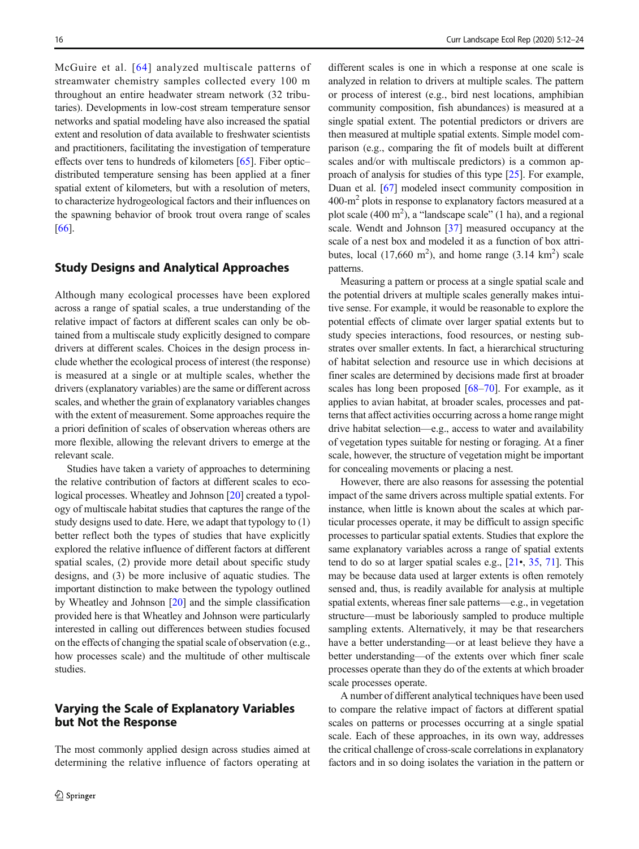McGuire et al. [[64\]](#page-10-0) analyzed multiscale patterns of streamwater chemistry samples collected every 100 m throughout an entire headwater stream network (32 tributaries). Developments in low-cost stream temperature sensor networks and spatial modeling have also increased the spatial extent and resolution of data available to freshwater scientists and practitioners, facilitating the investigation of temperature effects over tens to hundreds of kilometers [[65](#page-11-0)]. Fiber optic– distributed temperature sensing has been applied at a finer spatial extent of kilometers, but with a resolution of meters, to characterize hydrogeological factors and their influences on the spawning behavior of brook trout overa range of scales [\[66\]](#page-11-0).

# Study Designs and Analytical Approaches

Although many ecological processes have been explored across a range of spatial scales, a true understanding of the relative impact of factors at different scales can only be obtained from a multiscale study explicitly designed to compare drivers at different scales. Choices in the design process include whether the ecological process of interest (the response) is measured at a single or at multiple scales, whether the drivers (explanatory variables) are the same or different across scales, and whether the grain of explanatory variables changes with the extent of measurement. Some approaches require the a priori definition of scales of observation whereas others are more flexible, allowing the relevant drivers to emerge at the relevant scale.

Studies have taken a variety of approaches to determining the relative contribution of factors at different scales to eco-logical processes. Wheatley and Johnson [\[20\]](#page-9-0) created a typology of multiscale habitat studies that captures the range of the study designs used to date. Here, we adapt that typology to (1) better reflect both the types of studies that have explicitly explored the relative influence of different factors at different spatial scales, (2) provide more detail about specific study designs, and (3) be more inclusive of aquatic studies. The important distinction to make between the typology outlined by Wheatley and Johnson [[20](#page-9-0)] and the simple classification provided here is that Wheatley and Johnson were particularly interested in calling out differences between studies focused on the effects of changing the spatial scale of observation (e.g., how processes scale) and the multitude of other multiscale studies.

# Varying the Scale of Explanatory Variables but Not the Response

The most commonly applied design across studies aimed at determining the relative influence of factors operating at

different scales is one in which a response at one scale is analyzed in relation to drivers at multiple scales. The pattern or process of interest (e.g., bird nest locations, amphibian community composition, fish abundances) is measured at a single spatial extent. The potential predictors or drivers are then measured at multiple spatial extents. Simple model comparison (e.g., comparing the fit of models built at different scales and/or with multiscale predictors) is a common approach of analysis for studies of this type [\[25](#page-9-0)]. For example, Duan et al. [[67](#page-11-0)] modeled insect community composition in  $400\text{-m}^2$  plots in response to explanatory factors measured at a plot scale  $(400 \text{ m}^2)$ , a "landscape scale"  $(1 \text{ ha})$ , and a regional scale. Wendt and Johnson [[37\]](#page-10-0) measured occupancy at the scale of a nest box and modeled it as a function of box attributes, local  $(17,660 \text{ m}^2)$ , and home range  $(3.14 \text{ km}^2)$  scale patterns.

Measuring a pattern or process at a single spatial scale and the potential drivers at multiple scales generally makes intuitive sense. For example, it would be reasonable to explore the potential effects of climate over larger spatial extents but to study species interactions, food resources, or nesting substrates over smaller extents. In fact, a hierarchical structuring of habitat selection and resource use in which decisions at finer scales are determined by decisions made first at broader scales has long been proposed [\[68](#page-11-0)–[70](#page-11-0)]. For example, as it applies to avian habitat, at broader scales, processes and patterns that affect activities occurring across a home range might drive habitat selection—e.g., access to water and availability of vegetation types suitable for nesting or foraging. At a finer scale, however, the structure of vegetation might be important for concealing movements or placing a nest.

However, there are also reasons for assessing the potential impact of the same drivers across multiple spatial extents. For instance, when little is known about the scales at which particular processes operate, it may be difficult to assign specific processes to particular spatial extents. Studies that explore the same explanatory variables across a range of spatial extents tend to do so at larger spatial scales e.g., [\[21](#page-9-0)•, [35,](#page-10-0) [71](#page-11-0)]. This may be because data used at larger extents is often remotely sensed and, thus, is readily available for analysis at multiple spatial extents, whereas finer sale patterns—e.g., in vegetation structure—must be laboriously sampled to produce multiple sampling extents. Alternatively, it may be that researchers have a better understanding—or at least believe they have a better understanding—of the extents over which finer scale processes operate than they do of the extents at which broader scale processes operate.

A number of different analytical techniques have been used to compare the relative impact of factors at different spatial scales on patterns or processes occurring at a single spatial scale. Each of these approaches, in its own way, addresses the critical challenge of cross-scale correlations in explanatory factors and in so doing isolates the variation in the pattern or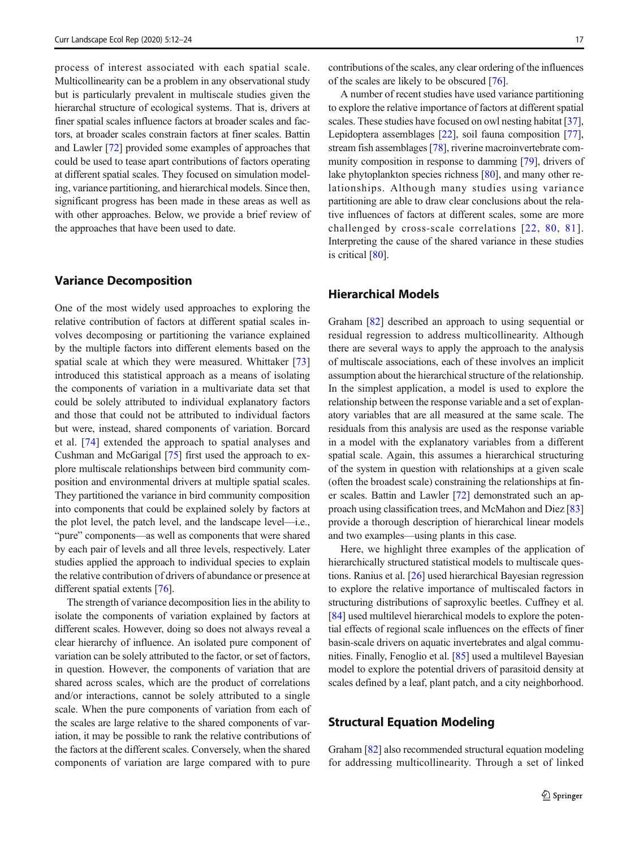process of interest associated with each spatial scale. Multicollinearity can be a problem in any observational study but is particularly prevalent in multiscale studies given the hierarchal structure of ecological systems. That is, drivers at finer spatial scales influence factors at broader scales and factors, at broader scales constrain factors at finer scales. Battin and Lawler [\[72](#page-11-0)] provided some examples of approaches that could be used to tease apart contributions of factors operating at different spatial scales. They focused on simulation modeling, variance partitioning, and hierarchical models. Since then, significant progress has been made in these areas as well as with other approaches. Below, we provide a brief review of the approaches that have been used to date.

#### Variance Decomposition

One of the most widely used approaches to exploring the relative contribution of factors at different spatial scales involves decomposing or partitioning the variance explained by the multiple factors into different elements based on the spatial scale at which they were measured. Whittaker [[73\]](#page-11-0) introduced this statistical approach as a means of isolating the components of variation in a multivariate data set that could be solely attributed to individual explanatory factors and those that could not be attributed to individual factors but were, instead, shared components of variation. Borcard et al. [\[74](#page-11-0)] extended the approach to spatial analyses and Cushman and McGarigal [[75](#page-11-0)] first used the approach to explore multiscale relationships between bird community composition and environmental drivers at multiple spatial scales. They partitioned the variance in bird community composition into components that could be explained solely by factors at the plot level, the patch level, and the landscape level—i.e., "pure" components—as well as components that were shared by each pair of levels and all three levels, respectively. Later studies applied the approach to individual species to explain the relative contribution of drivers of abundance or presence at different spatial extents [\[76](#page-11-0)].

The strength of variance decomposition lies in the ability to isolate the components of variation explained by factors at different scales. However, doing so does not always reveal a clear hierarchy of influence. An isolated pure component of variation can be solely attributed to the factor, or set of factors, in question. However, the components of variation that are shared across scales, which are the product of correlations and/or interactions, cannot be solely attributed to a single scale. When the pure components of variation from each of the scales are large relative to the shared components of variation, it may be possible to rank the relative contributions of the factors at the different scales. Conversely, when the shared components of variation are large compared with to pure

contributions of the scales, any clear ordering of the influences of the scales are likely to be obscured [[76](#page-11-0)].

A number of recent studies have used variance partitioning to explore the relative importance of factors at different spatial scales. These studies have focused on owl nesting habitat [[37\]](#page-10-0), Lepidoptera assemblages [\[22\]](#page-9-0), soil fauna composition [[77\]](#page-11-0), stream fish assemblages [\[78](#page-11-0)], riverine macroinvertebrate community composition in response to damming [\[79\]](#page-11-0), drivers of lake phytoplankton species richness [[80\]](#page-11-0), and many other relationships. Although many studies using variance partitioning are able to draw clear conclusions about the relative influences of factors at different scales, some are more challenged by cross-scale correlations [[22,](#page-9-0) [80](#page-11-0), [81\]](#page-11-0). Interpreting the cause of the shared variance in these studies is critical [\[80](#page-11-0)].

## Hierarchical Models

Graham [[82\]](#page-11-0) described an approach to using sequential or residual regression to address multicollinearity. Although there are several ways to apply the approach to the analysis of multiscale associations, each of these involves an implicit assumption about the hierarchical structure of the relationship. In the simplest application, a model is used to explore the relationship between the response variable and a set of explanatory variables that are all measured at the same scale. The residuals from this analysis are used as the response variable in a model with the explanatory variables from a different spatial scale. Again, this assumes a hierarchical structuring of the system in question with relationships at a given scale (often the broadest scale) constraining the relationships at finer scales. Battin and Lawler [\[72](#page-11-0)] demonstrated such an approach using classification trees, and McMahon and Diez [\[83](#page-11-0)] provide a thorough description of hierarchical linear models and two examples—using plants in this case.

Here, we highlight three examples of the application of hierarchically structured statistical models to multiscale questions. Ranius et al. [\[26](#page-9-0)] used hierarchical Bayesian regression to explore the relative importance of multiscaled factors in structuring distributions of saproxylic beetles. Cuffney et al. [\[84](#page-11-0)] used multilevel hierarchical models to explore the potential effects of regional scale influences on the effects of finer basin-scale drivers on aquatic invertebrates and algal communities. Finally, Fenoglio et al. [[85](#page-11-0)] used a multilevel Bayesian model to explore the potential drivers of parasitoid density at scales defined by a leaf, plant patch, and a city neighborhood.

# Structural Equation Modeling

Graham [[82\]](#page-11-0) also recommended structural equation modeling for addressing multicollinearity. Through a set of linked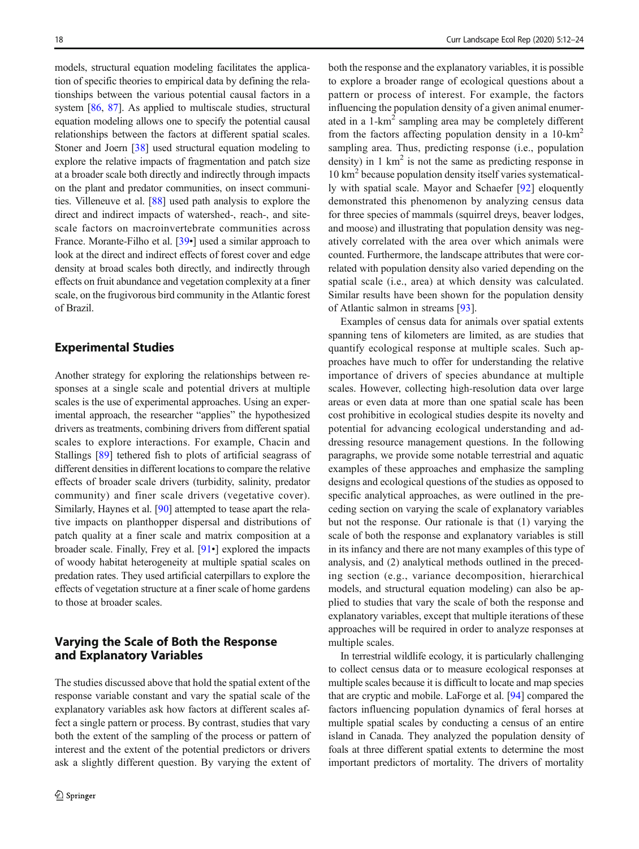models, structural equation modeling facilitates the application of specific theories to empirical data by defining the relationships between the various potential causal factors in a system [[86](#page-11-0), [87](#page-11-0)]. As applied to multiscale studies, structural equation modeling allows one to specify the potential causal relationships between the factors at different spatial scales. Stoner and Joern [[38](#page-10-0)] used structural equation modeling to explore the relative impacts of fragmentation and patch size at a broader scale both directly and indirectly through impacts on the plant and predator communities, on insect communities. Villeneuve et al. [[88](#page-11-0)] used path analysis to explore the direct and indirect impacts of watershed-, reach-, and sitescale factors on macroinvertebrate communities across France. Morante-Filho et al. [[39](#page-10-0)•] used a similar approach to look at the direct and indirect effects of forest cover and edge density at broad scales both directly, and indirectly through effects on fruit abundance and vegetation complexity at a finer scale, on the frugivorous bird community in the Atlantic forest of Brazil.

#### Experimental Studies

Another strategy for exploring the relationships between responses at a single scale and potential drivers at multiple scales is the use of experimental approaches. Using an experimental approach, the researcher "applies" the hypothesized drivers as treatments, combining drivers from different spatial scales to explore interactions. For example, Chacin and Stallings [\[89\]](#page-11-0) tethered fish to plots of artificial seagrass of different densities in different locations to compare the relative effects of broader scale drivers (turbidity, salinity, predator community) and finer scale drivers (vegetative cover). Similarly, Haynes et al. [\[90](#page-11-0)] attempted to tease apart the relative impacts on planthopper dispersal and distributions of patch quality at a finer scale and matrix composition at a broader scale. Finally, Frey et al. [\[91](#page-11-0)•] explored the impacts of woody habitat heterogeneity at multiple spatial scales on predation rates. They used artificial caterpillars to explore the effects of vegetation structure at a finer scale of home gardens to those at broader scales.

# Varying the Scale of Both the Response and Explanatory Variables

The studies discussed above that hold the spatial extent of the response variable constant and vary the spatial scale of the explanatory variables ask how factors at different scales affect a single pattern or process. By contrast, studies that vary both the extent of the sampling of the process or pattern of interest and the extent of the potential predictors or drivers ask a slightly different question. By varying the extent of

both the response and the explanatory variables, it is possible to explore a broader range of ecological questions about a pattern or process of interest. For example, the factors influencing the population density of a given animal enumerated in a  $1-km^2$  sampling area may be completely different from the factors affecting population density in a 10-km<sup>2</sup> sampling area. Thus, predicting response (i.e., population density) in  $1 \text{ km}^2$  is not the same as predicting response in 10 km2 because population density itself varies systematically with spatial scale. Mayor and Schaefer [[92](#page-11-0)] eloquently demonstrated this phenomenon by analyzing census data for three species of mammals (squirrel dreys, beaver lodges, and moose) and illustrating that population density was negatively correlated with the area over which animals were counted. Furthermore, the landscape attributes that were correlated with population density also varied depending on the spatial scale (i.e., area) at which density was calculated. Similar results have been shown for the population density of Atlantic salmon in streams [\[93](#page-11-0)].

Examples of census data for animals over spatial extents spanning tens of kilometers are limited, as are studies that quantify ecological response at multiple scales. Such approaches have much to offer for understanding the relative importance of drivers of species abundance at multiple scales. However, collecting high-resolution data over large areas or even data at more than one spatial scale has been cost prohibitive in ecological studies despite its novelty and potential for advancing ecological understanding and addressing resource management questions. In the following paragraphs, we provide some notable terrestrial and aquatic examples of these approaches and emphasize the sampling designs and ecological questions of the studies as opposed to specific analytical approaches, as were outlined in the preceding section on varying the scale of explanatory variables but not the response. Our rationale is that (1) varying the scale of both the response and explanatory variables is still in its infancy and there are not many examples of this type of analysis, and (2) analytical methods outlined in the preceding section (e.g., variance decomposition, hierarchical models, and structural equation modeling) can also be applied to studies that vary the scale of both the response and explanatory variables, except that multiple iterations of these approaches will be required in order to analyze responses at multiple scales.

In terrestrial wildlife ecology, it is particularly challenging to collect census data or to measure ecological responses at multiple scales because it is difficult to locate and map species that are cryptic and mobile. LaForge et al. [[94\]](#page-11-0) compared the factors influencing population dynamics of feral horses at multiple spatial scales by conducting a census of an entire island in Canada. They analyzed the population density of foals at three different spatial extents to determine the most important predictors of mortality. The drivers of mortality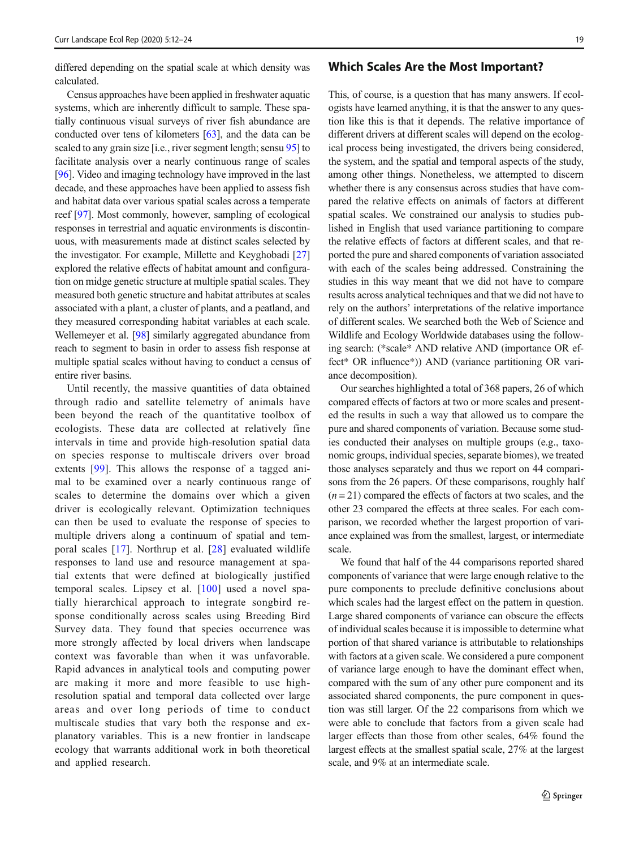differed depending on the spatial scale at which density was calculated.

Census approaches have been applied in freshwater aquatic systems, which are inherently difficult to sample. These spatially continuous visual surveys of river fish abundance are conducted over tens of kilometers [\[63](#page-10-0)], and the data can be scaled to any grain size [i.e., river segment length; sensu [95](#page-11-0)] to facilitate analysis over a nearly continuous range of scales [\[96\]](#page-11-0). Video and imaging technology have improved in the last decade, and these approaches have been applied to assess fish and habitat data over various spatial scales across a temperate reef [\[97\]](#page-11-0). Most commonly, however, sampling of ecological responses in terrestrial and aquatic environments is discontinuous, with measurements made at distinct scales selected by the investigator. For example, Millette and Keyghobadi [\[27\]](#page-9-0) explored the relative effects of habitat amount and configuration on midge genetic structure at multiple spatial scales. They measured both genetic structure and habitat attributes at scales associated with a plant, a cluster of plants, and a peatland, and they measured corresponding habitat variables at each scale. Wellemeyer et al. [\[98](#page-11-0)] similarly aggregated abundance from reach to segment to basin in order to assess fish response at multiple spatial scales without having to conduct a census of entire river basins.

Until recently, the massive quantities of data obtained through radio and satellite telemetry of animals have been beyond the reach of the quantitative toolbox of ecologists. These data are collected at relatively fine intervals in time and provide high-resolution spatial data on species response to multiscale drivers over broad extents [[99\]](#page-11-0). This allows the response of a tagged animal to be examined over a nearly continuous range of scales to determine the domains over which a given driver is ecologically relevant. Optimization techniques can then be used to evaluate the response of species to multiple drivers along a continuum of spatial and temporal scales [\[17\]](#page-9-0). Northrup et al. [\[28\]](#page-10-0) evaluated wildlife responses to land use and resource management at spatial extents that were defined at biologically justified temporal scales. Lipsey et al. [\[100\]](#page-11-0) used a novel spatially hierarchical approach to integrate songbird response conditionally across scales using Breeding Bird Survey data. They found that species occurrence was more strongly affected by local drivers when landscape context was favorable than when it was unfavorable. Rapid advances in analytical tools and computing power are making it more and more feasible to use highresolution spatial and temporal data collected over large areas and over long periods of time to conduct multiscale studies that vary both the response and explanatory variables. This is a new frontier in landscape ecology that warrants additional work in both theoretical and applied research.

## Which Scales Are the Most Important?

This, of course, is a question that has many answers. If ecologists have learned anything, it is that the answer to any question like this is that it depends. The relative importance of different drivers at different scales will depend on the ecological process being investigated, the drivers being considered, the system, and the spatial and temporal aspects of the study, among other things. Nonetheless, we attempted to discern whether there is any consensus across studies that have compared the relative effects on animals of factors at different spatial scales. We constrained our analysis to studies published in English that used variance partitioning to compare the relative effects of factors at different scales, and that reported the pure and shared components of variation associated with each of the scales being addressed. Constraining the studies in this way meant that we did not have to compare results across analytical techniques and that we did not have to rely on the authors' interpretations of the relative importance of different scales. We searched both the Web of Science and Wildlife and Ecology Worldwide databases using the following search: (\*scale\* AND relative AND (importance OR effect\* OR influence\*)) AND (variance partitioning OR variance decomposition).

Our searches highlighted a total of 368 papers, 26 of which compared effects of factors at two or more scales and presented the results in such a way that allowed us to compare the pure and shared components of variation. Because some studies conducted their analyses on multiple groups (e.g., taxonomic groups, individual species, separate biomes), we treated those analyses separately and thus we report on 44 comparisons from the 26 papers. Of these comparisons, roughly half  $(n=21)$  compared the effects of factors at two scales, and the other 23 compared the effects at three scales. For each comparison, we recorded whether the largest proportion of variance explained was from the smallest, largest, or intermediate scale.

We found that half of the 44 comparisons reported shared components of variance that were large enough relative to the pure components to preclude definitive conclusions about which scales had the largest effect on the pattern in question. Large shared components of variance can obscure the effects of individual scales because it is impossible to determine what portion of that shared variance is attributable to relationships with factors at a given scale. We considered a pure component of variance large enough to have the dominant effect when, compared with the sum of any other pure component and its associated shared components, the pure component in question was still larger. Of the 22 comparisons from which we were able to conclude that factors from a given scale had larger effects than those from other scales, 64% found the largest effects at the smallest spatial scale, 27% at the largest scale, and 9% at an intermediate scale.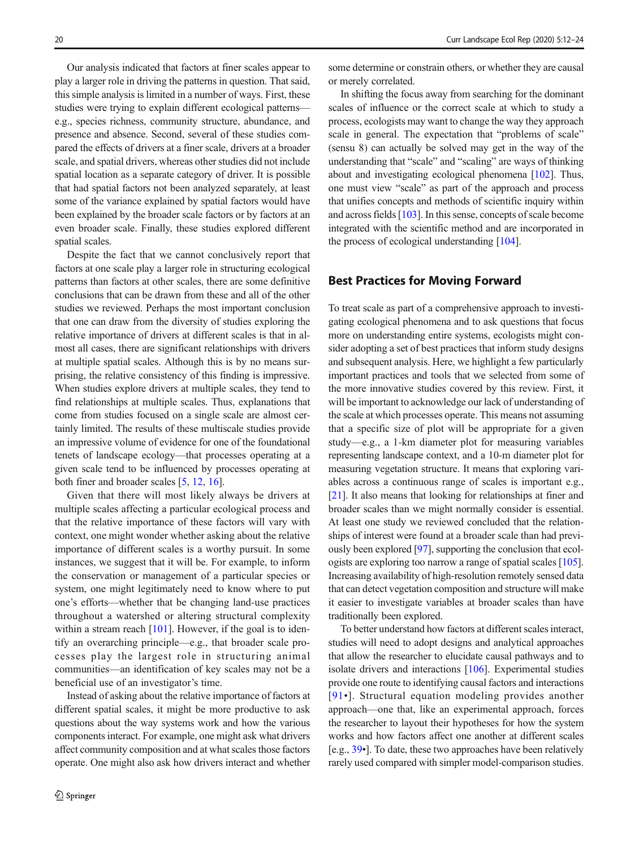Our analysis indicated that factors at finer scales appear to play a larger role in driving the patterns in question. That said, this simple analysis is limited in a number of ways. First, these studies were trying to explain different ecological patterns e.g., species richness, community structure, abundance, and presence and absence. Second, several of these studies compared the effects of drivers at a finer scale, drivers at a broader scale, and spatial drivers, whereas other studies did not include spatial location as a separate category of driver. It is possible that had spatial factors not been analyzed separately, at least some of the variance explained by spatial factors would have been explained by the broader scale factors or by factors at an even broader scale. Finally, these studies explored different spatial scales.

Despite the fact that we cannot conclusively report that factors at one scale play a larger role in structuring ecological patterns than factors at other scales, there are some definitive conclusions that can be drawn from these and all of the other studies we reviewed. Perhaps the most important conclusion that one can draw from the diversity of studies exploring the relative importance of drivers at different scales is that in almost all cases, there are significant relationships with drivers at multiple spatial scales. Although this is by no means surprising, the relative consistency of this finding is impressive. When studies explore drivers at multiple scales, they tend to find relationships at multiple scales. Thus, explanations that come from studies focused on a single scale are almost certainly limited. The results of these multiscale studies provide an impressive volume of evidence for one of the foundational tenets of landscape ecology—that processes operating at a given scale tend to be influenced by processes operating at both finer and broader scales [\[5](#page-9-0), [12](#page-9-0), [16\]](#page-9-0).

Given that there will most likely always be drivers at multiple scales affecting a particular ecological process and that the relative importance of these factors will vary with context, one might wonder whether asking about the relative importance of different scales is a worthy pursuit. In some instances, we suggest that it will be. For example, to inform the conservation or management of a particular species or system, one might legitimately need to know where to put one's efforts—whether that be changing land-use practices throughout a watershed or altering structural complexity within a stream reach [[101\]](#page-11-0). However, if the goal is to identify an overarching principle—e.g., that broader scale processes play the largest role in structuring animal communities—an identification of key scales may not be a beneficial use of an investigator's time.

Instead of asking about the relative importance of factors at different spatial scales, it might be more productive to ask questions about the way systems work and how the various components interact. For example, one might ask what drivers affect community composition and at what scales those factors operate. One might also ask how drivers interact and whether

some determine or constrain others, or whether they are causal or merely correlated.

In shifting the focus away from searching for the dominant scales of influence or the correct scale at which to study a process, ecologists may want to change the way they approach scale in general. The expectation that "problems of scale" (sensu 8) can actually be solved may get in the way of the understanding that "scale" and "scaling" are ways of thinking about and investigating ecological phenomena [\[102\]](#page-11-0). Thus, one must view "scale" as part of the approach and process that unifies concepts and methods of scientific inquiry within and across fields [\[103\]](#page-12-0). In this sense, concepts of scale become integrated with the scientific method and are incorporated in the process of ecological understanding [[104\]](#page-12-0).

#### Best Practices for Moving Forward

To treat scale as part of a comprehensive approach to investigating ecological phenomena and to ask questions that focus more on understanding entire systems, ecologists might consider adopting a set of best practices that inform study designs and subsequent analysis. Here, we highlight a few particularly important practices and tools that we selected from some of the more innovative studies covered by this review. First, it will be important to acknowledge our lack of understanding of the scale at which processes operate. This means not assuming that a specific size of plot will be appropriate for a given study—e.g., a 1-km diameter plot for measuring variables representing landscape context, and a 10-m diameter plot for measuring vegetation structure. It means that exploring variables across a continuous range of scales is important e.g., [\[21](#page-9-0)]. It also means that looking for relationships at finer and broader scales than we might normally consider is essential. At least one study we reviewed concluded that the relationships of interest were found at a broader scale than had previously been explored [\[97\]](#page-11-0), supporting the conclusion that ecologists are exploring too narrow a range of spatial scales [\[105\]](#page-12-0). Increasing availability of high-resolution remotely sensed data that can detect vegetation composition and structure will make it easier to investigate variables at broader scales than have traditionally been explored.

To better understand how factors at different scales interact, studies will need to adopt designs and analytical approaches that allow the researcher to elucidate causal pathways and to isolate drivers and interactions [\[106](#page-12-0)]. Experimental studies provide one route to identifying causal factors and interactions [[91](#page-11-0)•]. Structural equation modeling provides another approach—one that, like an experimental approach, forces the researcher to layout their hypotheses for how the system works and how factors affect one another at different scales [e.g., [39](#page-10-0)•]. To date, these two approaches have been relatively rarely used compared with simpler model-comparison studies.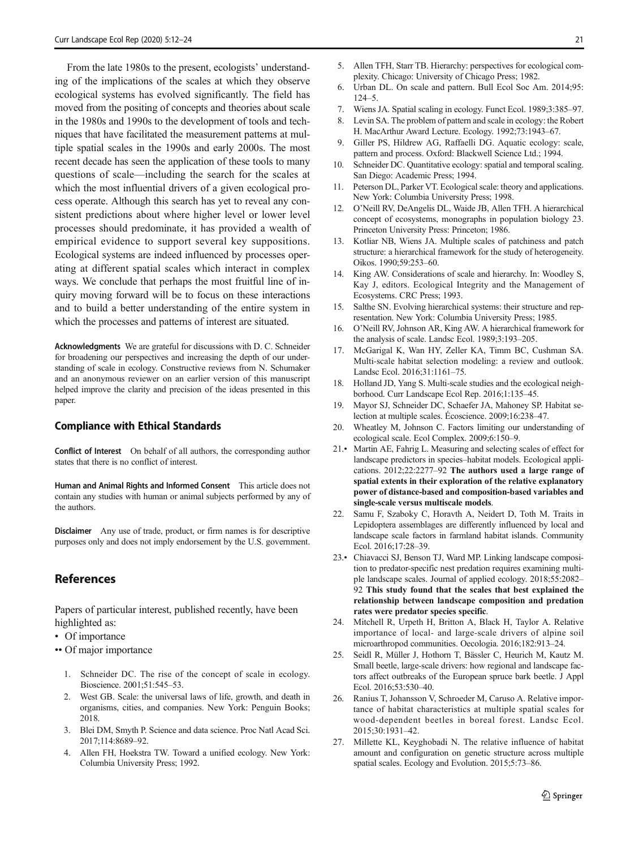<span id="page-9-0"></span>From the late 1980s to the present, ecologists' understanding of the implications of the scales at which they observe ecological systems has evolved significantly. The field has moved from the positing of concepts and theories about scale in the 1980s and 1990s to the development of tools and techniques that have facilitated the measurement patterns at multiple spatial scales in the 1990s and early 2000s. The most recent decade has seen the application of these tools to many questions of scale—including the search for the scales at which the most influential drivers of a given ecological process operate. Although this search has yet to reveal any consistent predictions about where higher level or lower level processes should predominate, it has provided a wealth of empirical evidence to support several key suppositions. Ecological systems are indeed influenced by processes operating at different spatial scales which interact in complex ways. We conclude that perhaps the most fruitful line of inquiry moving forward will be to focus on these interactions and to build a better understanding of the entire system in which the processes and patterns of interest are situated.

Acknowledgments We are grateful for discussions with D. C. Schneider for broadening our perspectives and increasing the depth of our understanding of scale in ecology. Constructive reviews from N. Schumaker and an anonymous reviewer on an earlier version of this manuscript helped improve the clarity and precision of the ideas presented in this paper.

#### Compliance with Ethical Standards

Conflict of Interest On behalf of all authors, the corresponding author states that there is no conflict of interest.

Human and Animal Rights and Informed Consent This article does not contain any studies with human or animal subjects performed by any of the authors.

Disclaimer Any use of trade, product, or firm names is for descriptive purposes only and does not imply endorsement by the U.S. government.

# References

Papers of particular interest, published recently, have been highlighted as:

- Of importance
- •• Of major importance
	- 1. Schneider DC. The rise of the concept of scale in ecology. Bioscience. 2001;51:545–53.
	- 2. West GB. Scale: the universal laws of life, growth, and death in organisms, cities, and companies. New York: Penguin Books; 2018.
	- 3. Blei DM, Smyth P. Science and data science. Proc Natl Acad Sci. 2017;114:8689–92.
	- 4. Allen FH, Hoekstra TW. Toward a unified ecology. New York: Columbia University Press; 1992.
- 5. Allen TFH, Starr TB. Hierarchy: perspectives for ecological complexity. Chicago: University of Chicago Press; 1982.
- 6. Urban DL. On scale and pattern. Bull Ecol Soc Am. 2014;95: 124–5.
- 7. Wiens JA. Spatial scaling in ecology. Funct Ecol. 1989;3:385–97.
- 8. Levin SA. The problem of pattern and scale in ecology: the Robert H. MacArthur Award Lecture. Ecology. 1992;73:1943–67.
- 9. Giller PS, Hildrew AG, Raffaelli DG. Aquatic ecology: scale, pattern and process. Oxford: Blackwell Science Ltd.; 1994.
- 10. Schneider DC. Quantitative ecology: spatial and temporal scaling. San Diego: Academic Press; 1994.
- 11. Peterson DL, Parker VT. Ecological scale: theory and applications. New York: Columbia University Press; 1998.
- 12. O'Neill RV, DeAngelis DL, Waide JB, Allen TFH. A hierarchical concept of ecosystems, monographs in population biology 23. Princeton University Press: Princeton; 1986.
- 13. Kotliar NB, Wiens JA. Multiple scales of patchiness and patch structure: a hierarchical framework for the study of heterogeneity. Oikos. 1990;59:253–60.
- 14. King AW. Considerations of scale and hierarchy. In: Woodley S, Kay J, editors. Ecological Integrity and the Management of Ecosystems. CRC Press; 1993.
- 15. Salthe SN. Evolving hierarchical systems: their structure and representation. New York: Columbia University Press; 1985.
- 16. O'Neill RV, Johnson AR, King AW. A hierarchical framework for the analysis of scale. Landsc Ecol. 1989;3:193–205.
- 17. McGarigal K, Wan HY, Zeller KA, Timm BC, Cushman SA. Multi-scale habitat selection modeling: a review and outlook. Landsc Ecol. 2016;31:1161–75.
- 18. Holland JD, Yang S. Multi-scale studies and the ecological neighborhood. Curr Landscape Ecol Rep. 2016;1:135–45.
- 19. Mayor SJ, Schneider DC, Schaefer JA, Mahoney SP. Habitat selection at multiple scales. Écoscience. 2009;16:238–47.
- 20. Wheatley M, Johnson C. Factors limiting our understanding of ecological scale. Ecol Complex. 2009;6:150–9.
- 21.• Martin AE, Fahrig L. Measuring and selecting scales of effect for landscape predictors in species–habitat models. Ecological applications. 2012;22:2277–92 The authors used a large range of spatial extents in their exploration of the relative explanatory power of distance-based and composition-based variables and single-scale versus multiscale models.
- 22. Samu F, Szaboky C, Horavth A, Neidert D, Toth M. Traits in Lepidoptera assemblages are differently influenced by local and landscape scale factors in farmland habitat islands. Community Ecol. 2016;17:28–39.
- 23.• Chiavacci SJ, Benson TJ, Ward MP. Linking landscape composition to predator-specific nest predation requires examining multiple landscape scales. Journal of applied ecology. 2018;55:2082– 92 This study found that the scales that best explained the relationship between landscape composition and predation rates were predator species specific.
- 24. Mitchell R, Urpeth H, Britton A, Black H, Taylor A. Relative importance of local- and large-scale drivers of alpine soil microarthropod communities. Oecologia. 2016;182:913–24.
- 25. Seidl R, Müller J, Hothorn T, Bässler C, Heurich M, Kautz M. Small beetle, large-scale drivers: how regional and landscape factors affect outbreaks of the European spruce bark beetle. J Appl Ecol. 2016;53:530–40.
- 26. Ranius T, Johansson V, Schroeder M, Caruso A. Relative importance of habitat characteristics at multiple spatial scales for wood-dependent beetles in boreal forest. Landsc Ecol. 2015;30:1931–42.
- 27. Millette KL, Keyghobadi N. The relative influence of habitat amount and configuration on genetic structure across multiple spatial scales. Ecology and Evolution. 2015;5:73–86.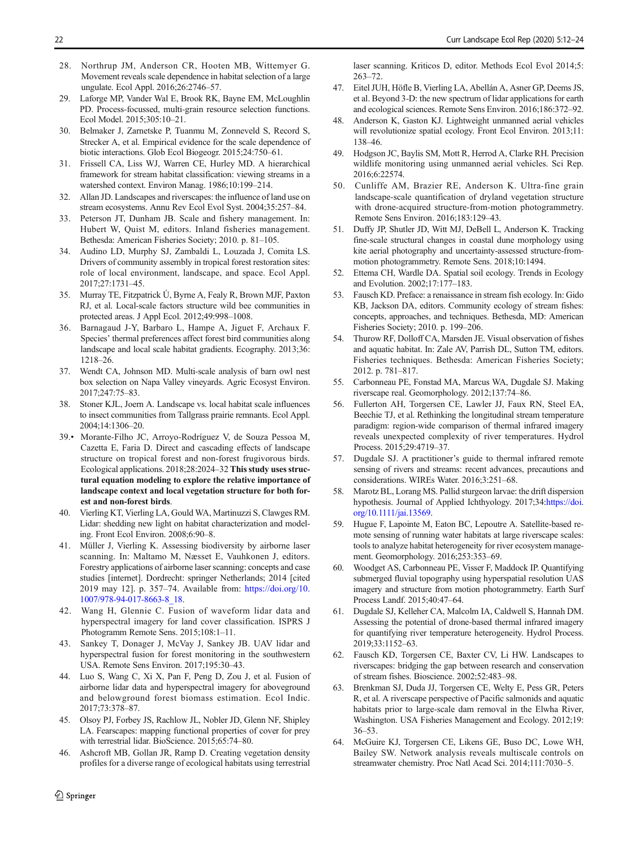- <span id="page-10-0"></span>28. Northrup JM, Anderson CR, Hooten MB, Wittemyer G. Movement reveals scale dependence in habitat selection of a large ungulate. Ecol Appl. 2016;26:2746–57.
- 29. Laforge MP, Vander Wal E, Brook RK, Bayne EM, McLoughlin PD. Process-focussed, multi-grain resource selection functions. Ecol Model. 2015;305:10–21.
- 30. Belmaker J, Zarnetske P, Tuanmu M, Zonneveld S, Record S, Strecker A, et al. Empirical evidence for the scale dependence of biotic interactions. Glob Ecol Biogeogr. 2015;24:750–61.
- 31. Frissell CA, Liss WJ, Warren CE, Hurley MD. A hierarchical framework for stream habitat classification: viewing streams in a watershed context. Environ Manag. 1986;10:199–214.
- 32. Allan JD. Landscapes and riverscapes: the influence of land use on stream ecosystems. Annu Rev Ecol Evol Syst. 2004;35:257–84.
- 33. Peterson JT, Dunham JB. Scale and fishery management. In: Hubert W, Quist M, editors. Inland fisheries management. Bethesda: American Fisheries Society; 2010. p. 81–105.
- 34. Audino LD, Murphy SJ, Zambaldi L, Louzada J, Comita LS. Drivers of community assembly in tropical forest restoration sites: role of local environment, landscape, and space. Ecol Appl. 2017;27:1731–45.
- 35. Murray TE, Fitzpatrick Ú, Byrne A, Fealy R, Brown MJF, Paxton RJ, et al. Local-scale factors structure wild bee communities in protected areas. J Appl Ecol. 2012;49:998–1008.
- 36. Barnagaud J-Y, Barbaro L, Hampe A, Jiguet F, Archaux F. Species' thermal preferences affect forest bird communities along landscape and local scale habitat gradients. Ecography. 2013;36: 1218–26.
- 37. Wendt CA, Johnson MD. Multi-scale analysis of barn owl nest box selection on Napa Valley vineyards. Agric Ecosyst Environ. 2017;247:75–83.
- 38. Stoner KJL, Joern A. Landscape vs. local habitat scale influences to insect communities from Tallgrass prairie remnants. Ecol Appl. 2004;14:1306–20.
- 39.• Morante-Filho JC, Arroyo-Rodríguez V, de Souza Pessoa M, Cazetta E, Faria D. Direct and cascading effects of landscape structure on tropical forest and non-forest frugivorous birds. Ecological applications. 2018;28:2024–32 This study uses structural equation modeling to explore the relative importance of landscape context and local vegetation structure for both forest and non-forest birds.
- 40. Vierling KT, Vierling LA, Gould WA, Martinuzzi S, Clawges RM. Lidar: shedding new light on habitat characterization and modeling. Front Ecol Environ. 2008;6:90–8.
- 41. Müller J, Vierling K. Assessing biodiversity by airborne laser scanning. In: Maltamo M, Næsset E, Vauhkonen J, editors. Forestry applications of airborne laser scanning: concepts and case studies [internet]. Dordrecht: springer Netherlands; 2014 [cited 2019 may 12]. p. 357–74. Available from: [https://doi.org/10.](https://doi.org/10.1007/978-94-017-8663-8_18) [1007/978-94-017-8663-8\\_18](https://doi.org/10.1007/978-94-017-8663-8_18).
- 42. Wang H, Glennie C. Fusion of waveform lidar data and hyperspectral imagery for land cover classification. ISPRS J Photogramm Remote Sens. 2015;108:1–11.
- 43. Sankey T, Donager J, McVay J, Sankey JB. UAV lidar and hyperspectral fusion for forest monitoring in the southwestern USA. Remote Sens Environ. 2017;195:30–43.
- 44. Luo S, Wang C, Xi X, Pan F, Peng D, Zou J, et al. Fusion of airborne lidar data and hyperspectral imagery for aboveground and belowground forest biomass estimation. Ecol Indic. 2017;73:378–87.
- 45. Olsoy PJ, Forbey JS, Rachlow JL, Nobler JD, Glenn NF, Shipley LA. Fearscapes: mapping functional properties of cover for prey with terrestrial lidar. BioScience. 2015;65:74–80.
- 46. Ashcroft MB, Gollan JR, Ramp D. Creating vegetation density profiles for a diverse range of ecological habitats using terrestrial

laser scanning. Kriticos D, editor. Methods Ecol Evol 2014;5: 263–72.

- 47. Eitel JUH, Höfle B, Vierling LA, Abellán A, Asner GP, Deems JS, et al. Beyond 3-D: the new spectrum of lidar applications for earth and ecological sciences. Remote Sens Environ. 2016;186:372–92.
- 48. Anderson K, Gaston KJ. Lightweight unmanned aerial vehicles will revolutionize spatial ecology. Front Ecol Environ. 2013;11: 138–46.
- 49. Hodgson JC, Baylis SM, Mott R, Herrod A, Clarke RH. Precision wildlife monitoring using unmanned aerial vehicles. Sci Rep. 2016;6:22574.
- 50. Cunliffe AM, Brazier RE, Anderson K. Ultra-fine grain landscape-scale quantification of dryland vegetation structure with drone-acquired structure-from-motion photogrammetry. Remote Sens Environ. 2016;183:129–43.
- 51. Duffy JP, Shutler JD, Witt MJ, DeBell L, Anderson K. Tracking fine-scale structural changes in coastal dune morphology using kite aerial photography and uncertainty-assessed structure-frommotion photogrammetry. Remote Sens. 2018;10:1494.
- 52. Ettema CH, Wardle DA. Spatial soil ecology. Trends in Ecology and Evolution. 2002;17:177–183.
- 53. Fausch KD. Preface: a renaissance in stream fish ecology. In: Gido KB, Jackson DA, editors. Community ecology of stream fishes: concepts, approaches, and techniques. Bethesda, MD: American Fisheries Society; 2010. p. 199–206.
- 54. Thurow RF, Dolloff CA, Marsden JE. Visual observation of fishes and aquatic habitat. In: Zale AV, Parrish DL, Sutton TM, editors. Fisheries techniques. Bethesda: American Fisheries Society; 2012. p. 781–817.
- 55. Carbonneau PE, Fonstad MA, Marcus WA, Dugdale SJ. Making riverscape real. Geomorphology. 2012;137:74–86.
- 56. Fullerton AH, Torgersen CE, Lawler JJ, Faux RN, Steel EA, Beechie TJ, et al. Rethinking the longitudinal stream temperature paradigm: region-wide comparison of thermal infrared imagery reveals unexpected complexity of river temperatures. Hydrol Process. 2015;29:4719–37.
- 57. Dugdale SJ. A practitioner's guide to thermal infrared remote sensing of rivers and streams: recent advances, precautions and considerations. WIREs Water. 2016;3:251–68.
- 58. Marotz BL, Lorang MS. Pallid sturgeon larvae: the drift dispersion hypothesis. Journal of Applied Ichthyology. 2017;34[:https://doi.](https://doi.org/10.1111/jai.13569) [org/10.1111/jai.13569](https://doi.org/10.1111/jai.13569).
- 59. Hugue F, Lapointe M, Eaton BC, Lepoutre A. Satellite-based remote sensing of running water habitats at large riverscape scales: tools to analyze habitat heterogeneity for river ecosystem management. Geomorphology. 2016;253:353–69.
- 60. Woodget AS, Carbonneau PE, Visser F, Maddock IP. Quantifying submerged fluvial topography using hyperspatial resolution UAS imagery and structure from motion photogrammetry. Earth Surf Process Landf. 2015;40:47–64.
- 61. Dugdale SJ, Kelleher CA, Malcolm IA, Caldwell S, Hannah DM. Assessing the potential of drone-based thermal infrared imagery for quantifying river temperature heterogeneity. Hydrol Process. 2019;33:1152–63.
- 62. Fausch KD, Torgersen CE, Baxter CV, Li HW. Landscapes to riverscapes: bridging the gap between research and conservation of stream fishes. Bioscience. 2002;52:483–98.
- 63. Brenkman SJ, Duda JJ, Torgersen CE, Welty E, Pess GR, Peters R, et al. A riverscape perspective of Pacific salmonids and aquatic habitats prior to large-scale dam removal in the Elwha River, Washington. USA Fisheries Management and Ecology. 2012;19: 36–53.
- 64. McGuire KJ, Torgersen CE, Likens GE, Buso DC, Lowe WH, Bailey SW. Network analysis reveals multiscale controls on streamwater chemistry. Proc Natl Acad Sci. 2014;111:7030–5.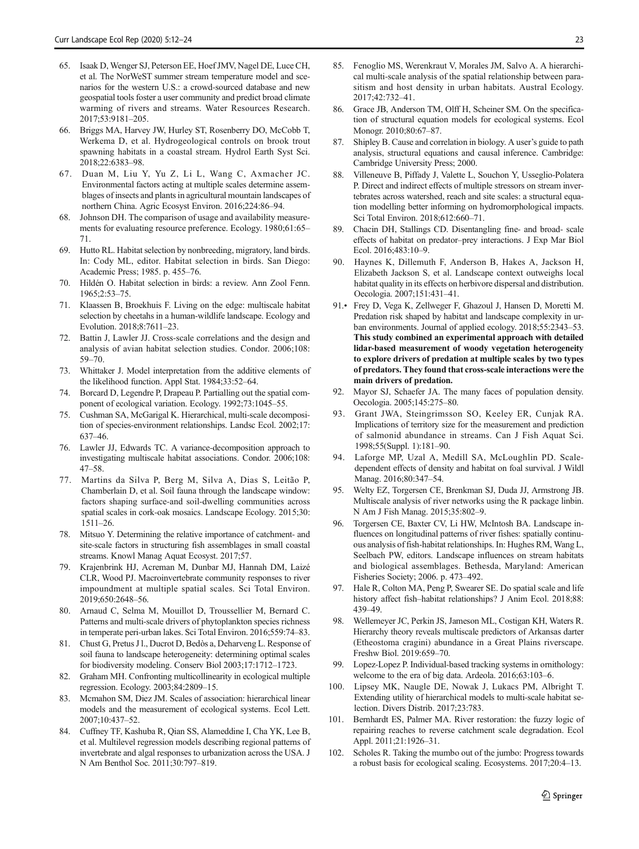- <span id="page-11-0"></span>65. Isaak D, Wenger SJ, Peterson EE, Hoef JMV, Nagel DE, Luce CH, et al. The NorWeST summer stream temperature model and scenarios for the western U.S.: a crowd-sourced database and new geospatial tools foster a user community and predict broad climate warming of rivers and streams. Water Resources Research. 2017;53:9181–205.
- 66. Briggs MA, Harvey JW, Hurley ST, Rosenberry DO, McCobb T, Werkema D, et al. Hydrogeological controls on brook trout spawning habitats in a coastal stream. Hydrol Earth Syst Sci. 2018;22:6383–98.
- 67. Duan M, Liu Y, Yu Z, Li L, Wang C, Axmacher JC. Environmental factors acting at multiple scales determine assemblages of insects and plants in agricultural mountain landscapes of northern China. Agric Ecosyst Environ. 2016;224:86–94.
- 68. Johnson DH. The comparison of usage and availability measurements for evaluating resource preference. Ecology. 1980;61:65– 71.
- 69. Hutto RL. Habitat selection by nonbreeding, migratory, land birds. In: Cody ML, editor. Habitat selection in birds. San Diego: Academic Press; 1985. p. 455–76.
- 70. Hildén O. Habitat selection in birds: a review. Ann Zool Fenn. 1965;2:53–75.
- 71. Klaassen B, Broekhuis F. Living on the edge: multiscale habitat selection by cheetahs in a human-wildlife landscape. Ecology and Evolution. 2018;8:7611–23.
- 72. Battin J, Lawler JJ. Cross-scale correlations and the design and analysis of avian habitat selection studies. Condor. 2006;108: 59–70.
- 73. Whittaker J. Model interpretation from the additive elements of the likelihood function. Appl Stat. 1984;33:52–64.
- 74. Borcard D, Legendre P, Drapeau P. Partialling out the spatial component of ecological variation. Ecology. 1992;73:1045–55.
- 75. Cushman SA, McGarigal K. Hierarchical, multi-scale decomposition of species-environment relationships. Landsc Ecol. 2002;17: 637–46.
- 76. Lawler JJ, Edwards TC. A variance-decomposition approach to investigating multiscale habitat associations. Condor. 2006;108: 47–58.
- 77. Martins da Silva P, Berg M, Silva A, Dias S, Leitão P, Chamberlain D, et al. Soil fauna through the landscape window: factors shaping surface-and soil-dwelling communities across spatial scales in cork-oak mosaics. Landscape Ecology. 2015;30: 1511–26.
- 78. Mitsuo Y. Determining the relative importance of catchment- and site-scale factors in structuring fish assemblages in small coastal streams. Knowl Manag Aquat Ecosyst. 2017;57.
- 79. Krajenbrink HJ, Acreman M, Dunbar MJ, Hannah DM, Laizé CLR, Wood PJ. Macroinvertebrate community responses to river impoundment at multiple spatial scales. Sci Total Environ. 2019;650:2648–56.
- 80. Arnaud C, Selma M, Mouillot D, Troussellier M, Bernard C. Patterns and multi-scale drivers of phytoplankton species richness in temperate peri-urban lakes. Sci Total Environ. 2016;559:74–83.
- 81. Chust G, Pretus J l., Ducrot D, Bedòs a, Deharveng L. Response of soil fauna to landscape heterogeneity: determining optimal scales for biodiversity modeling. Conserv Biol 2003;17:1712–1723.
- 82. Graham MH. Confronting multicollinearity in ecological multiple regression. Ecology. 2003;84:2809–15.
- Mcmahon SM, Diez JM. Scales of association: hierarchical linear models and the measurement of ecological systems. Ecol Lett. 2007;10:437–52.
- 84. Cuffney TF, Kashuba R, Qian SS, Alameddine I, Cha YK, Lee B, et al. Multilevel regression models describing regional patterns of invertebrate and algal responses to urbanization across the USA. J N Am Benthol Soc. 2011;30:797–819.
- 85. Fenoglio MS, Werenkraut V, Morales JM, Salvo A. A hierarchical multi-scale analysis of the spatial relationship between parasitism and host density in urban habitats. Austral Ecology. 2017;42:732–41.
- 86. Grace JB, Anderson TM, Olff H, Scheiner SM. On the specification of structural equation models for ecological systems. Ecol Monogr. 2010;80:67–87.
- 87. Shipley B. Cause and correlation in biology. A user's guide to path analysis, structural equations and causal inference. Cambridge: Cambridge University Press; 2000.
- 88. Villeneuve B, Piffady J, Valette L, Souchon Y, Usseglio-Polatera P. Direct and indirect effects of multiple stressors on stream invertebrates across watershed, reach and site scales: a structural equation modelling better informing on hydromorphological impacts. Sci Total Environ. 2018;612:660–71.
- 89. Chacin DH, Stallings CD. Disentangling fine- and broad- scale effects of habitat on predator–prey interactions. J Exp Mar Biol Ecol. 2016;483:10–9.
- 90. Haynes K, Dillemuth F, Anderson B, Hakes A, Jackson H, Elizabeth Jackson S, et al. Landscape context outweighs local habitat quality in its effects on herbivore dispersal and distribution. Oecologia. 2007;151:431–41.
- 91.• Frey D, Vega K, Zellweger F, Ghazoul J, Hansen D, Moretti M. Predation risk shaped by habitat and landscape complexity in urban environments. Journal of applied ecology. 2018;55:2343–53. This study combined an experimental approach with detailed lidar-based measurement of woody vegetation heterogeneity to explore drivers of predation at multiple scales by two types of predators. They found that cross-scale interactions were the main drivers of predation.
- 92. Mayor SJ, Schaefer JA. The many faces of population density. Oecologia. 2005;145:275–80.
- 93. Grant JWA, Steingrimsson SO, Keeley ER, Cunjak RA. Implications of territory size for the measurement and prediction of salmonid abundance in streams. Can J Fish Aquat Sci. 1998;55(Suppl. 1):181–90.
- 94. Laforge MP, Uzal A, Medill SA, McLoughlin PD. Scaledependent effects of density and habitat on foal survival. J Wildl Manag. 2016;80:347–54.
- 95. Welty EZ, Torgersen CE, Brenkman SJ, Duda JJ, Armstrong JB. Multiscale analysis of river networks using the R package linbin. N Am J Fish Manag. 2015;35:802–9.
- 96. Torgersen CE, Baxter CV, Li HW, McIntosh BA. Landscape influences on longitudinal patterns of river fishes: spatially continuous analysis of fish-habitat relationships. In: Hughes RM, Wang L, Seelbach PW, editors. Landscape influences on stream habitats and biological assemblages. Bethesda, Maryland: American Fisheries Society; 2006. p. 473–492.
- 97. Hale R, Colton MA, Peng P, Swearer SE. Do spatial scale and life history affect fish–habitat relationships? J Anim Ecol. 2018;88: 439–49.
- 98. Wellemeyer JC, Perkin JS, Jameson ML, Costigan KH, Waters R. Hierarchy theory reveals multiscale predictors of Arkansas darter (Etheostoma cragini) abundance in a Great Plains riverscape. Freshw Biol. 2019:659–70.
- 99. Lopez-Lopez P. Individual-based tracking systems in ornithology: welcome to the era of big data. Ardeola. 2016;63:103–6.
- 100. Lipsey MK, Naugle DE, Nowak J, Lukacs PM, Albright T. Extending utility of hierarchical models to multi-scale habitat selection. Divers Distrib. 2017;23:783.
- 101. Bernhardt ES, Palmer MA. River restoration: the fuzzy logic of repairing reaches to reverse catchment scale degradation. Ecol Appl. 2011;21:1926–31.
- 102. Scholes R. Taking the mumbo out of the jumbo: Progress towards a robust basis for ecological scaling. Ecosystems. 2017;20:4–13.